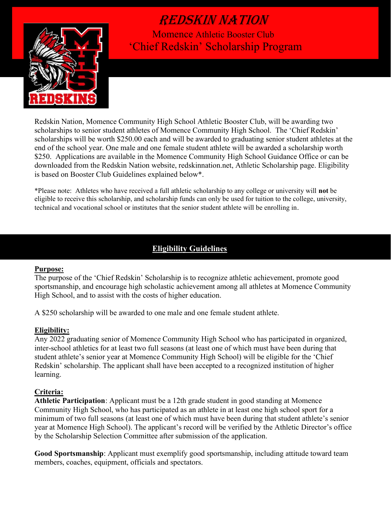

 Momence Athletic Booster Club 'Chief Redskin' Scholarship Program

Redskin Nation, Momence Community High School Athletic Booster Club, will be awarding two scholarships to senior student athletes of Momence Community High School. The 'Chief Redskin' scholarships will be worth \$250.00 each and will be awarded to graduating senior student athletes at the end of the school year. One male and one female student athlete will be awarded a scholarship worth \$250. Applications are available in the Momence Community High School Guidance Office or can be downloaded from the Redskin Nation website, redskinnation.net, Athletic Scholarship page. Eligibility is based on Booster Club Guidelines explained below\*.

\*Please note: Athletes who have received a full athletic scholarship to any college or university will not be eligible to receive this scholarship, and scholarship funds can only be used for tuition to the college, university, technical and vocational school or institutes that the senior student athlete will be enrolling in.

### **Eligibility Guidelines**

#### Purpose:

The purpose of the 'Chief Redskin' Scholarship is to recognize athletic achievement, promote good sportsmanship, and encourage high scholastic achievement among all athletes at Momence Community High School, and to assist with the costs of higher education.

A \$250 scholarship will be awarded to one male and one female student athlete.

#### Eligibility:

Any 2022 graduating senior of Momence Community High School who has participated in organized, inter-school athletics for at least two full seasons (at least one of which must have been during that student athlete's senior year at Momence Community High School) will be eligible for the 'Chief Redskin' scholarship. The applicant shall have been accepted to a recognized institution of higher learning.

#### Criteria:

Athletic Participation: Applicant must be a 12th grade student in good standing at Momence Community High School, who has participated as an athlete in at least one high school sport for a minimum of two full seasons (at least one of which must have been during that student athlete's senior year at Momence High School). The applicant's record will be verified by the Athletic Director's office by the Scholarship Selection Committee after submission of the application.

Good Sportsmanship: Applicant must exemplify good sportsmanship, including attitude toward team members, coaches, equipment, officials and spectators.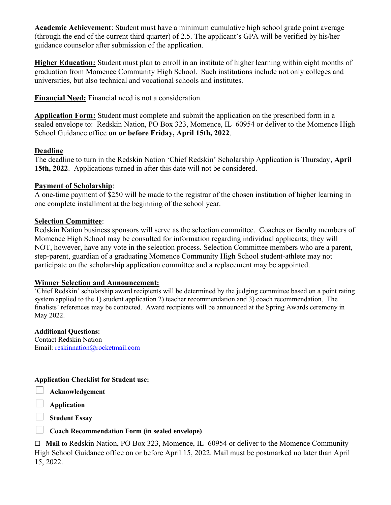Academic Achievement: Student must have a minimum cumulative high school grade point average (through the end of the current third quarter) of 2.5. The applicant's GPA will be verified by his/her guidance counselor after submission of the application.

Higher Education: Student must plan to enroll in an institute of higher learning within eight months of graduation from Momence Community High School. Such institutions include not only colleges and universities, but also technical and vocational schools and institutes.

Financial Need: Financial need is not a consideration.

Application Form: Student must complete and submit the application on the prescribed form in a sealed envelope to: Redskin Nation, PO Box 323, Momence, IL 60954 or deliver to the Momence High School Guidance office on or before Friday, April 15th, 2022.

#### Deadline

The deadline to turn in the Redskin Nation 'Chief Redskin' Scholarship Application is Thursday, April 15th, 2022. Applications turned in after this date will not be considered.

#### Payment of Scholarship:

A one-time payment of \$250 will be made to the registrar of the chosen institution of higher learning in one complete installment at the beginning of the school year.

#### Selection Committee:

Redskin Nation business sponsors will serve as the selection committee. Coaches or faculty members of Momence High School may be consulted for information regarding individual applicants; they will NOT, however, have any vote in the selection process. Selection Committee members who are a parent, step-parent, guardian of a graduating Momence Community High School student-athlete may not participate on the scholarship application committee and a replacement may be appointed.

#### Winner Selection and Announcement:

'Chief Redskin' scholarship award recipients will be determined by the judging committee based on a point rating system applied to the 1) student application 2) teacher recommendation and 3) coach recommendation. The finalists' references may be contacted. Award recipients will be announced at the Spring Awards ceremony in May 2022.

#### Additional Questions:

Contact Redskin Nation Email: reskinnation@rocketmail.com

#### Application Checklist for Student use:

 $\Box$  Acknowledgement

 $\Box$  Application

 $\Box$  Student Essay

### $\Box$  Coach Recommendation Form (in sealed envelope)

 $\Box$  Mail to Redskin Nation, PO Box 323, Momence, IL 60954 or deliver to the Momence Community High School Guidance office on or before April 15, 2022. Mail must be postmarked no later than April 15, 2022.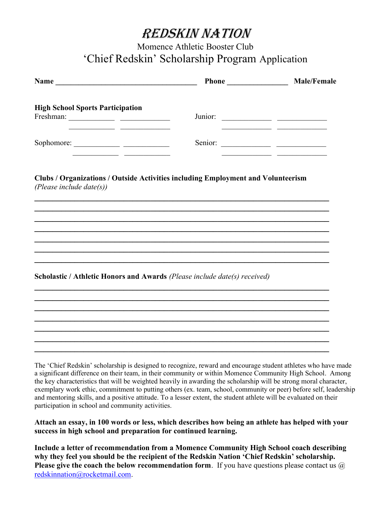### Momence Athletic Booster Club 'Chief Redskin' Scholarship Program Application

| Name                                                                                                                 |                                                                                  | <b>Male/Female</b> |
|----------------------------------------------------------------------------------------------------------------------|----------------------------------------------------------------------------------|--------------------|
| <b>High School Sports Participation</b>                                                                              |                                                                                  |                    |
| <u> 1980 - Johann John Stein, mars and de British and de British and de British and de British and de British an</u> |                                                                                  |                    |
|                                                                                                                      | <u> 1990 - Johann Barbara, mart</u>                                              |                    |
| (Please include date $(s)$ )                                                                                         | Clubs / Organizations / Outside Activities including Employment and Volunteerism |                    |
|                                                                                                                      |                                                                                  |                    |
|                                                                                                                      |                                                                                  |                    |
|                                                                                                                      |                                                                                  |                    |
|                                                                                                                      | Scholastic / Athletic Honors and Awards (Please include date(s) received)        |                    |
|                                                                                                                      |                                                                                  |                    |
|                                                                                                                      |                                                                                  |                    |
|                                                                                                                      |                                                                                  |                    |
|                                                                                                                      |                                                                                  |                    |

The 'Chief Redskin' scholarship is designed to recognize, reward and encourage student athletes who have made a significant difference on their team, in their community or within Momence Community High School. Among the key characteristics that will be weighted heavily in awarding the scholarship will be strong moral character, exemplary work ethic, commitment to putting others (ex. team, school, community or peer) before self, leadership and mentoring skills, and a positive attitude. To a lesser extent, the student athlete will be evaluated on their participation in school and community activities.

Attach an essay, in 100 words or less, which describes how being an athlete has helped with your success in high school and preparation for continued learning.

Include a letter of recommendation from a Momence Community High School coach describing why they feel you should be the recipient of the Redskin Nation 'Chief Redskin' scholarship. **Please give the coach the below recommendation form.** If you have questions please contact us  $\omega$ redskinnation@rocketmail.com.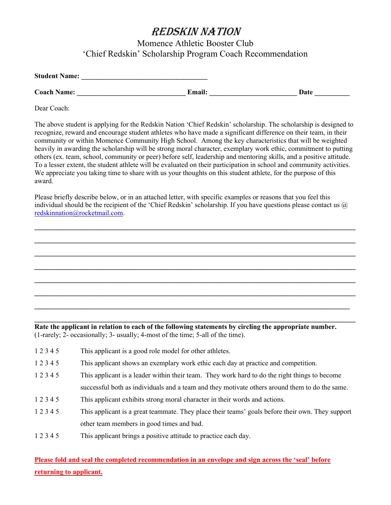Momence Athletic Booster Club 'Chief Redskin' Scholarship Program Coach Recommendation

| <b>Student Name:</b> |               |      |  |
|----------------------|---------------|------|--|
| <b>Coach Name:</b>   | <b>Email:</b> | Date |  |

Dear Coach:

The above student is applying for the Redskin Nation 'Chief Redskin' scholarship. The scholarship is designed to recognize, reward and encourage student athletes who have made a significant difference on their team, in their community or within Momence Community High School. Among the key characteristics that will be weighted heavily in awarding the scholarship will be strong moral character, exemplary work ethic, commitment to putting others (ex. team, school, community or peer) before self, leadership and mentoring skills, and a positive attitude. To a lesser extent, the student athlete will be evaluated on their participation in school and community activities. We appreciate you taking time to share with us your thoughts on this student athlete, for the purpose of this award.

Please briefly describe below, or in an attached letter, with specific examples or reasons that you feel this individual should be the recipient of the 'Chief Redskin' scholarship. If you have questions please contact us  $\omega$ redskinnation@rocketmail.com.

 $\mathcal{L}_\text{max}$  , and the contract of the contract of the contract of the contract of the contract of the contract of the contract of the contract of the contract of the contract of the contract of the contract of the contr

 $\mathcal{L}_\text{max}$  , and the contract of the contract of the contract of the contract of the contract of the contract of the contract of the contract of the contract of the contract of the contract of the contract of the contr

 $\mathcal{L}_\text{max}$  , and the contract of the contract of the contract of the contract of the contract of the contract of the contract of the contract of the contract of the contract of the contract of the contract of the contr

 $\mathcal{L}_\text{max}$  , and the contract of the contract of the contract of the contract of the contract of the contract of the contract of the contract of the contract of the contract of the contract of the contract of the contr

 $\mathcal{L}_\text{max}$  , and the contract of the contract of the contract of the contract of the contract of the contract of the contract of the contract of the contract of the contract of the contract of the contract of the contr

 $\mathcal{L}_\text{max}$  , and the contract of the contract of the contract of the contract of the contract of the contract of the contract of the contract of the contract of the contract of the contract of the contract of the contr

Rate the applicant in relation to each of the following statements by circling the appropriate number. (1-rarely; 2- occasionally; 3- usually; 4-most of the time; 5-all of the time).

- 1 2 3 4 5 This applicant is a good role model for other athletes.
- 1 2 3 4 5 This applicant shows an exemplary work ethic each day at practice and competition.
- 1 2 3 4 5 This applicant is a leader within their team. They work hard to do the right things to become successful both as individuals and a team and they motivate others around them to do the same.
- 1 2 3 4 5 This applicant exhibits strong moral character in their words and actions.
- 1 2 3 4 5 This applicant is a great teammate. They place their teams' goals before their own. They support other team members in good times and bad.
- 1 2 3 4 5 This applicant brings a positive attitude to practice each day.

Please fold and seal the completed recommendation in an envelope and sign across the 'seal' before returning to applicant.